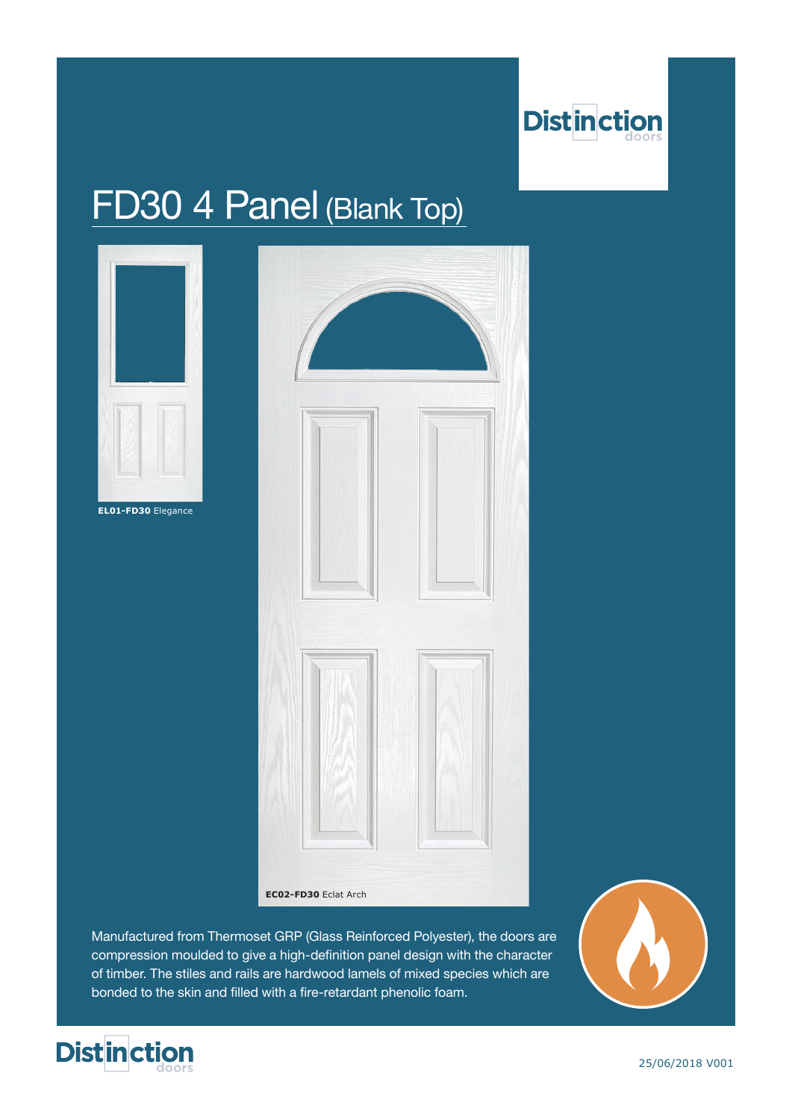

## FD30 4 Panel (Blank Top)



Manufactured from Thermoset GRP (Glass Reinforced Polyester), the doors are compression moulded to give a high-definition panel design with the character of timber. The stiles and rails are hardwood lamels of mixed species which are bonded to the skin and filled with a fire-retardant phenolic foam.





25/06/2018 V001